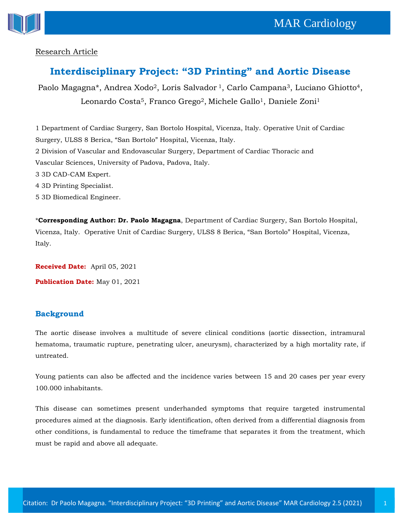

## Research Article

## **Interdisciplinary Project: "3D Printing" and Aortic Disease**

Paolo Magagna\*, Andrea Xodo<sup>2</sup>, Loris Salvador<sup>1</sup>, Carlo Campana<sup>3</sup>, Luciano Ghiotto<sup>4</sup>, Leonardo Costa<sup>5</sup>, Franco Grego<sup>2</sup>, Michele Gallo<sup>1</sup>, Daniele Zoni<sup>1</sup>

1 Department of Cardiac Surgery, San Bortolo Hospital, Vicenza, Italy. Operative Unit of Cardiac Surgery, ULSS 8 Berica, "San Bortolo" Hospital, Vicenza, Italy. 2 Division of Vascular and Endovascular Surgery, Department of Cardiac Thoracic and Vascular Sciences, University of Padova, Padova, Italy. 3 3D CAD-CAM Expert. 4 3D Printing Specialist. 5 3D Biomedical Engineer.

\***Corresponding Author: Dr. Paolo Magagna**, Department of Cardiac Surgery, San Bortolo Hospital, Vicenza, Italy. Operative Unit of Cardiac Surgery, ULSS 8 Berica, "San Bortolo" Hospital, Vicenza, Italy.

**Received Date:** April 05, 2021 **Publication Date:** May 01, 2021

## **Background**

The aortic disease involves a multitude of severe clinical conditions (aortic dissection, intramural hematoma, traumatic rupture, penetrating ulcer, aneurysm), characterized by a high mortality rate, if untreated.

Young patients can also be affected and the incidence varies between 15 and 20 cases per year every 100.000 inhabitants.

This disease can sometimes present underhanded symptoms that require targeted instrumental procedures aimed at the diagnosis. Early identification, often derived from a differential diagnosis from other conditions, is fundamental to reduce the timeframe that separates it from the treatment, which must be rapid and above all adequate.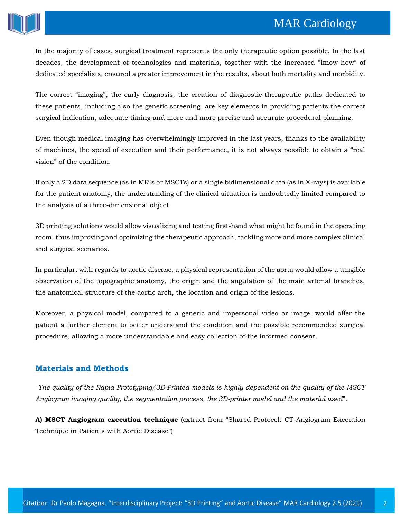# **MAR Cardiology**



In the majority of cases, surgical treatment represents the only therapeutic option possible. In the last decades, the development of technologies and materials, together with the increased "know-how" of dedicated specialists, ensured a greater improvement in the results, about both mortality and morbidity.

The correct "imaging", the early diagnosis, the creation of diagnostic-therapeutic paths dedicated to these patients, including also the genetic screening, are key elements in providing patients the correct surgical indication, adequate timing and more and more precise and accurate procedural planning.

Even though medical imaging has overwhelmingly improved in the last years, thanks to the availability of machines, the speed of execution and their performance, it is not always possible to obtain a "real vision" of the condition.

If only a 2D data sequence (as in MRIs or MSCTs) or a single bidimensional data (as in X-rays) is available for the patient anatomy, the understanding of the clinical situation is undoubtedly limited compared to the analysis of a three-dimensional object.

3D printing solutions would allow visualizing and testing first-hand what might be found in the operating room, thus improving and optimizing the therapeutic approach, tackling more and more complex clinical and surgical scenarios.

In particular, with regards to aortic disease, a physical representation of the aorta would allow a tangible observation of the topographic anatomy, the origin and the angulation of the main arterial branches, the anatomical structure of the aortic arch, the location and origin of the lesions.

Moreover, a physical model, compared to a generic and impersonal video or image, would offer the patient a further element to better understand the condition and the possible recommended surgical procedure, allowing a more understandable and easy collection of the informed consent.

## **Materials and Methods**

*"The quality of the Rapid Prototyping/3D Printed models is highly dependent on the quality of the MSCT Angiogram imaging quality, the segmentation process, the 3D-printer model and the material used*".

**A) MSCT Angiogram execution technique** (extract from "Shared Protocol: CT-Angiogram Execution Technique in Patients with Aortic Disease")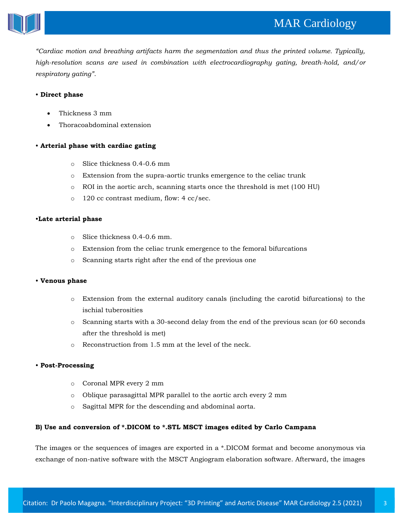

*"Cardiac motion and breathing artifacts harm the segmentation and thus the printed volume. Typically, high-resolution scans are used in combination with electrocardiography gating, breath-hold, and/or respiratory gating"*.

#### • **Direct phase**

- Thickness 3 mm
- Thoracoabdominal extension

#### • **Arterial phase with cardiac gating**

- o Slice thickness 0.4-0.6 mm
- o Extension from the supra-aortic trunks emergence to the celiac trunk
- o ROI in the aortic arch, scanning starts once the threshold is met (100 HU)
- o 120 cc contrast medium, flow: 4 cc/sec.

#### •**Late arterial phase**

- o Slice thickness 0.4-0.6 mm.
- o Extension from the celiac trunk emergence to the femoral bifurcations
- o Scanning starts right after the end of the previous one

#### • **Venous phase**

- o Extension from the external auditory canals (including the carotid bifurcations) to the ischial tuberosities
- o Scanning starts with a 30-second delay from the end of the previous scan (or 60 seconds after the threshold is met)
- o Reconstruction from 1.5 mm at the level of the neck.

#### • **Post-Processing**

- o Coronal MPR every 2 mm
- o Oblique parasagittal MPR parallel to the aortic arch every 2 mm
- o Sagittal MPR for the descending and abdominal aorta.

#### **B) Use and conversion of \*.DICOM to \*.STL MSCT images edited by Carlo Campana**

The images or the sequences of images are exported in a \*.DICOM format and become anonymous via exchange of non-native software with the MSCT Angiogram elaboration software. Afterward, the images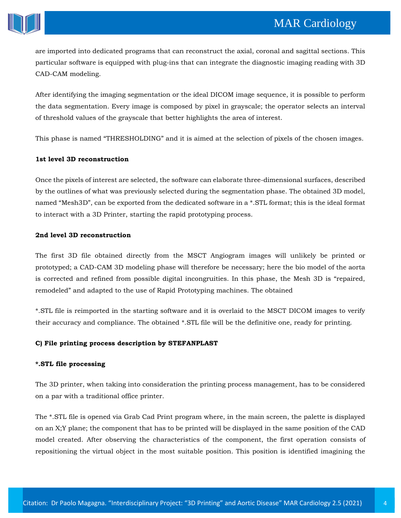

are imported into dedicated programs that can reconstruct the axial, coronal and sagittal sections. This particular software is equipped with plug-ins that can integrate the diagnostic imaging reading with 3D CAD-CAM modeling.

After identifying the imaging segmentation or the ideal DICOM image sequence, it is possible to perform the data segmentation. Every image is composed by pixel in grayscale; the operator selects an interval of threshold values of the grayscale that better highlights the area of interest.

This phase is named "THRESHOLDING" and it is aimed at the selection of pixels of the chosen images.

#### **1st level 3D reconstruction**

Once the pixels of interest are selected, the software can elaborate three-dimensional surfaces, described by the outlines of what was previously selected during the segmentation phase. The obtained 3D model, named "Mesh3D", can be exported from the dedicated software in a \*.STL format; this is the ideal format to interact with a 3D Printer, starting the rapid prototyping process.

#### **2nd level 3D reconstruction**

The first 3D file obtained directly from the MSCT Angiogram images will unlikely be printed or prototyped; a CAD-CAM 3D modeling phase will therefore be necessary; here the bio model of the aorta is corrected and refined from possible digital incongruities. In this phase, the Mesh 3D is "repaired, remodeled" and adapted to the use of Rapid Prototyping machines. The obtained

\*.STL file is reimported in the starting software and it is overlaid to the MSCT DICOM images to verify their accuracy and compliance. The obtained \*.STL file will be the definitive one, ready for printing.

#### **C) File printing process description by STEFANPLAST**

#### **\*.STL file processing**

The 3D printer, when taking into consideration the printing process management, has to be considered on a par with a traditional office printer.

The \*.STL file is opened via Grab Cad Print program where, in the main screen, the palette is displayed on an X;Y plane; the component that has to be printed will be displayed in the same position of the CAD model created. After observing the characteristics of the component, the first operation consists of repositioning the virtual object in the most suitable position. This position is identified imagining the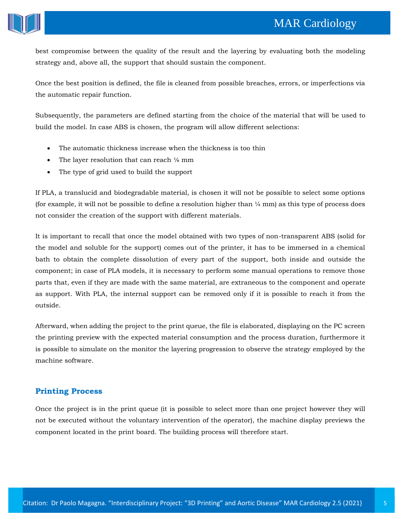

best compromise between the quality of the result and the layering by evaluating both the modeling strategy and, above all, the support that should sustain the component.

Once the best position is defined, the file is cleaned from possible breaches, errors, or imperfections via the automatic repair function.

Subsequently, the parameters are defined starting from the choice of the material that will be used to build the model. In case ABS is chosen, the program will allow different selections:

- The automatic thickness increase when the thickness is too thin
- The layer resolution that can reach ⅛ mm
- The type of grid used to build the support

If PLA, a translucid and biodegradable material, is chosen it will not be possible to select some options (for example, it will not be possible to define a resolution higher than  $\frac{1}{4}$  mm) as this type of process does not consider the creation of the support with different materials.

It is important to recall that once the model obtained with two types of non-transparent ABS (solid for the model and soluble for the support) comes out of the printer, it has to be immersed in a chemical bath to obtain the complete dissolution of every part of the support, both inside and outside the component; in case of PLA models, it is necessary to perform some manual operations to remove those parts that, even if they are made with the same material, are extraneous to the component and operate as support. With PLA, the internal support can be removed only if it is possible to reach it from the outside.

Afterward, when adding the project to the print queue, the file is elaborated, displaying on the PC screen the printing preview with the expected material consumption and the process duration, furthermore it is possible to simulate on the monitor the layering progression to observe the strategy employed by the machine software.

## **Printing Process**

Once the project is in the print queue (it is possible to select more than one project however they will not be executed without the voluntary intervention of the operator), the machine display previews the component located in the print board. The building process will therefore start.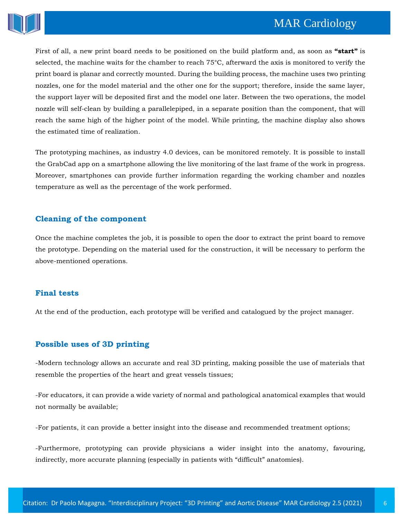

First of all, a new print board needs to be positioned on the build platform and, as soon as **"start"** is selected, the machine waits for the chamber to reach 75°C, afterward the axis is monitored to verify the print board is planar and correctly mounted. During the building process, the machine uses two printing nozzles, one for the model material and the other one for the support; therefore, inside the same layer, the support layer will be deposited first and the model one later. Between the two operations, the model nozzle will self-clean by building a parallelepiped, in a separate position than the component, that will reach the same high of the higher point of the model. While printing, the machine display also shows the estimated time of realization.

The prototyping machines, as industry 4.0 devices, can be monitored remotely. It is possible to install the GrabCad app on a smartphone allowing the live monitoring of the last frame of the work in progress. Moreover, smartphones can provide further information regarding the working chamber and nozzles temperature as well as the percentage of the work performed.

### **Cleaning of the component**

Once the machine completes the job, it is possible to open the door to extract the print board to remove the prototype. Depending on the material used for the construction, it will be necessary to perform the above-mentioned operations.

## **Final tests**

At the end of the production, each prototype will be verified and catalogued by the project manager.

## **Possible uses of 3D printing**

-Modern technology allows an accurate and real 3D printing, making possible the use of materials that resemble the properties of the heart and great vessels tissues;

-For educators, it can provide a wide variety of normal and pathological anatomical examples that would not normally be available;

-For patients, it can provide a better insight into the disease and recommended treatment options;

-Furthermore, prototyping can provide physicians a wider insight into the anatomy, favouring, indirectly, more accurate planning (especially in patients with "difficult" anatomies).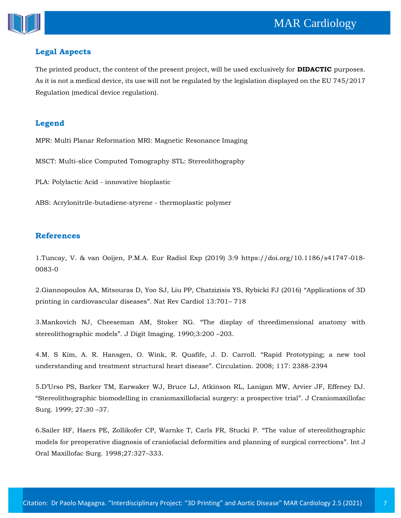



## **Legal Aspects**

The printed product, the content of the present project, will be used exclusively for **DIDACTIC** purposes. As it is not a medical device, its use will not be regulated by the legislation displayed on the EU 745/2017 Regulation (medical device regulation).

## **Legend**

MPR: Multi Planar Reformation MRI: Magnetic Resonance Imaging

MSCT: Multi-slice Computed Tomography STL: Stereolithography

PLA: Polylactic Acid - innovative bioplastic

ABS: Acrylonitrile-butadiene-styrene - thermoplastic polymer

## **References**

1.Tuncay, V. & van Ooijen, P.M.A. Eur Radiol Exp (2019) 3:9 https://doi.org/10.1186/s41747-018- 0083-0

2[.Giannopoulos AA, Mitsouras D, Yoo SJ, Liu PP, Chatzizisis YS, Rybicki FJ \(2016\)](https://www.google.com/search?q=Applications+of+3D+printing+in+cardiovascular+diseases&sxsrf=ALeKk01pniqY6RDIxZBylI8cTNpwKVvbHA%3A1617860492291&ei=jJduYOaZEZTfrQGziLCwAg&oq=Applications+of+3D+printing+in+cardiovascular+diseases&gs_lcp=Cgdnd3Mtd2l6EAMyBggAEBYQHjoHCCMQ6gIQJ1CcdlicdmD9d2gBcAB4AIABdYgB1AGSAQMxLjGYAQCgAQGgAQKqAQdnd3Mtd2l6sAEKwAEB&sclient=gws-wiz&ved=0ahUKEwjmj8H_9-3vAhWUbysKHTMEDCYQ4dUDCA0&uact=5) "Applications of 3D [printing in cardiovascular diseases](https://www.google.com/search?q=Applications+of+3D+printing+in+cardiovascular+diseases&sxsrf=ALeKk01pniqY6RDIxZBylI8cTNpwKVvbHA%3A1617860492291&ei=jJduYOaZEZTfrQGziLCwAg&oq=Applications+of+3D+printing+in+cardiovascular+diseases&gs_lcp=Cgdnd3Mtd2l6EAMyBggAEBYQHjoHCCMQ6gIQJ1CcdlicdmD9d2gBcAB4AIABdYgB1AGSAQMxLjGYAQCgAQGgAQKqAQdnd3Mtd2l6sAEKwAEB&sclient=gws-wiz&ved=0ahUKEwjmj8H_9-3vAhWUbysKHTMEDCYQ4dUDCA0&uact=5)". Nat Rev Cardiol 13:701– 718

3[.Mankovich NJ, Cheeseman AM, Stoker NG.](https://www.google.com/search?q=The+display+of+threedimensional+anatomy+with+stereolithographic+models&sxsrf=ALeKk00k8O9s1OdMFbzwnHPAUaW6WnPr8w%3A1617860474903&ei=epduYMLVNpjd9QPH1aaIDg&oq=The+display+of+threedimensional+anatomy+with+stereolithographic+models&gs_lcp=Cgdnd3Mtd2l6EAMyBggAEBYQHjoHCCMQ6gIQJ1Die1jie2Dlf2gBcAB4AIABdYgB2AGSAQMxLjGYAQCgAQGgAQKqAQdnd3Mtd2l6sAEKwAEB&sclient=gws-wiz&ved=0ahUKEwjC-pv39-3vAhWYbn0KHceqCeEQ4dUDCA0&uact=5) "The display of threedimensional anatomy with stereolithographic models"[. J Digit Imaging. 1990;3:200](https://www.google.com/search?q=The+display+of+threedimensional+anatomy+with+stereolithographic+models&sxsrf=ALeKk00k8O9s1OdMFbzwnHPAUaW6WnPr8w%3A1617860474903&ei=epduYMLVNpjd9QPH1aaIDg&oq=The+display+of+threedimensional+anatomy+with+stereolithographic+models&gs_lcp=Cgdnd3Mtd2l6EAMyBggAEBYQHjoHCCMQ6gIQJ1Die1jie2Dlf2gBcAB4AIABdYgB2AGSAQMxLjGYAQCgAQGgAQKqAQdnd3Mtd2l6sAEKwAEB&sclient=gws-wiz&ved=0ahUKEwjC-pv39-3vAhWYbn0KHceqCeEQ4dUDCA0&uact=5) –203.

4[.M. S Kim, A. R. Hansgen, O. Wink, R. Quafife, J. D. Carroll.](https://www.google.com/search?q=Rapid+Prototyping%3B+a+new+tool+understanding+and+treatment+structural+heart+disease&sxsrf=ALeKk020z9Ttn8iDNEbw0AHp9jaGSOUPng%3A1617860458642&ei=apduYMPTJpKv9QOjxISYBg&oq=Rapid+Prototyping%3B+a+new+tool+understanding+and+treatment+structural+heart+disease&gs_lcp=Cgdnd3Mtd2l6EAM6BwgjEOoCECdQ5XVY5XVg0ndoAXAAeACAAegBiAGrA5IBBTAuMS4xmAEAoAEBoAECqgEHZ3dzLXdperABCsABAQ&sclient=gws-wiz&ved=0ahUKEwjDsLvv9-3vAhWSV30KHSMiAWMQ4dUDCA0&uact=5) "Rapid Prototyping; a new tool [understanding and treatment structural heart disease](https://www.google.com/search?q=Rapid+Prototyping%3B+a+new+tool+understanding+and+treatment+structural+heart+disease&sxsrf=ALeKk020z9Ttn8iDNEbw0AHp9jaGSOUPng%3A1617860458642&ei=apduYMPTJpKv9QOjxISYBg&oq=Rapid+Prototyping%3B+a+new+tool+understanding+and+treatment+structural+heart+disease&gs_lcp=Cgdnd3Mtd2l6EAM6BwgjEOoCECdQ5XVY5XVg0ndoAXAAeACAAegBiAGrA5IBBTAuMS4xmAEAoAEBoAECqgEHZ3dzLXdperABCsABAQ&sclient=gws-wiz&ved=0ahUKEwjDsLvv9-3vAhWSV30KHSMiAWMQ4dUDCA0&uact=5)". Circulation. 2008; 117: 2388-2394

5.D'Urso PS, Barker TM, Earwaker WJ, Bru[ce LJ, Atkinson RL, Lanigan MW, Arvier JF, Effeney DJ.](https://www.google.com/search?q=Stereolithographic+biomodelling+in+craniomaxillofacial+surgery%3A+a+prospective+trial&sxsrf=ALeKk03hWAzqEDS_6EET16_hQJ59CX24cw%3A1617860439940&ei=V5duYNHsOITyrAH7p6TgAg&oq=Stereolithographic+biomodelling+in+craniomaxillofacial+surgery%3A+a+prospective+trial&gs_lcp=Cgdnd3Mtd2l6EAM6BwgjEOoCECdQ2YcBWNmHAWDHiQFoAXAAeACAAW6IAW6SAQMwLjGYAQGgAQGgAQKqAQdnd3Mtd2l6sAEKwAEB&sclient=gws-wiz&ved=0ahUKEwiR9MXm9-3vAhUEOSsKHfsTCSwQ4dUDCA0&uact=5)  "[Stereolithographic biomodelling in craniomaxillofacial surgery: a prospective trial](https://www.google.com/search?q=Stereolithographic+biomodelling+in+craniomaxillofacial+surgery%3A+a+prospective+trial&sxsrf=ALeKk03hWAzqEDS_6EET16_hQJ59CX24cw%3A1617860439940&ei=V5duYNHsOITyrAH7p6TgAg&oq=Stereolithographic+biomodelling+in+craniomaxillofacial+surgery%3A+a+prospective+trial&gs_lcp=Cgdnd3Mtd2l6EAM6BwgjEOoCECdQ2YcBWNmHAWDHiQFoAXAAeACAAW6IAW6SAQMwLjGYAQGgAQGgAQKqAQdnd3Mtd2l6sAEKwAEB&sclient=gws-wiz&ved=0ahUKEwiR9MXm9-3vAhUEOSsKHfsTCSwQ4dUDCA0&uact=5)". J Craniomaxillofac [Surg. 1999; 27:30](https://www.google.com/search?q=Stereolithographic+biomodelling+in+craniomaxillofacial+surgery%3A+a+prospective+trial&sxsrf=ALeKk03hWAzqEDS_6EET16_hQJ59CX24cw%3A1617860439940&ei=V5duYNHsOITyrAH7p6TgAg&oq=Stereolithographic+biomodelling+in+craniomaxillofacial+surgery%3A+a+prospective+trial&gs_lcp=Cgdnd3Mtd2l6EAM6BwgjEOoCECdQ2YcBWNmHAWDHiQFoAXAAeACAAW6IAW6SAQMwLjGYAQGgAQGgAQKqAQdnd3Mtd2l6sAEKwAEB&sclient=gws-wiz&ved=0ahUKEwiR9MXm9-3vAhUEOSsKHfsTCSwQ4dUDCA0&uact=5) –37.

6[.Sailer HF, Haers PE, Zollikofer CP, Warnke T, Carls FR, Stucki P.](https://www.google.com/search?q=The+value+of+stereolithographic+models+for+preoperative+diagnosis+of+craniofacial+deformities+and+planning+of+surgical+corrections&sxsrf=ALeKk03uNmUFccutd4c1oUkyys_ZQwN69Q%3A1617860424090&ei=SJduYKj6BNKv9QPo2paQCQ&oq=The+value+of+stereolithographic+models+for+preoperative+diagnosis+of+craniofacial+deformities+and+planning+of+surgical+corrections&gs_lcp=Cgdnd3Mtd2l6EAMyBwgjEOoCECcyBwgjEOoCECcyBwgjEOoCECcyBwgjEOoCECcyBwgjEOoCECcyBwgjEOoCECcyBwgjEOoCECcyBwgjEOoCECcyBwgjEOoCECcyBwgjEOoCECdQzG1YzG1gnXNoAXAAeACAAWiIAWiSAQMwLjGYAQCgAQGgAQKqAQdnd3Mtd2l6sAEKwAEB&sclient=gws-wiz&ved=0ahUKEwiovv7e9-3vAhXSV30KHWitBZIQ4dUDCA0&uact=5) "The value of stereolithographic [models for preoperative diagnosis of craniofacial deformities and planning of surgical corrections](https://www.google.com/search?q=The+value+of+stereolithographic+models+for+preoperative+diagnosis+of+craniofacial+deformities+and+planning+of+surgical+corrections&sxsrf=ALeKk03uNmUFccutd4c1oUkyys_ZQwN69Q%3A1617860424090&ei=SJduYKj6BNKv9QPo2paQCQ&oq=The+value+of+stereolithographic+models+for+preoperative+diagnosis+of+craniofacial+deformities+and+planning+of+surgical+corrections&gs_lcp=Cgdnd3Mtd2l6EAMyBwgjEOoCECcyBwgjEOoCECcyBwgjEOoCECcyBwgjEOoCECcyBwgjEOoCECcyBwgjEOoCECcyBwgjEOoCECcyBwgjEOoCECcyBwgjEOoCECcyBwgjEOoCECdQzG1YzG1gnXNoAXAAeACAAWiIAWiSAQMwLjGYAQCgAQGgAQKqAQdnd3Mtd2l6sAEKwAEB&sclient=gws-wiz&ved=0ahUKEwiovv7e9-3vAhXSV30KHWitBZIQ4dUDCA0&uact=5)". Int J [Oral Maxillofac Surg. 1998;27:327](https://www.google.com/search?q=The+value+of+stereolithographic+models+for+preoperative+diagnosis+of+craniofacial+deformities+and+planning+of+surgical+corrections&sxsrf=ALeKk03uNmUFccutd4c1oUkyys_ZQwN69Q%3A1617860424090&ei=SJduYKj6BNKv9QPo2paQCQ&oq=The+value+of+stereolithographic+models+for+preoperative+diagnosis+of+craniofacial+deformities+and+planning+of+surgical+corrections&gs_lcp=Cgdnd3Mtd2l6EAMyBwgjEOoCECcyBwgjEOoCECcyBwgjEOoCECcyBwgjEOoCECcyBwgjEOoCECcyBwgjEOoCECcyBwgjEOoCECcyBwgjEOoCECcyBwgjEOoCECcyBwgjEOoCECdQzG1YzG1gnXNoAXAAeACAAWiIAWiSAQMwLjGYAQCgAQGgAQKqAQdnd3Mtd2l6sAEKwAEB&sclient=gws-wiz&ved=0ahUKEwiovv7e9-3vAhXSV30KHWitBZIQ4dUDCA0&uact=5)–333.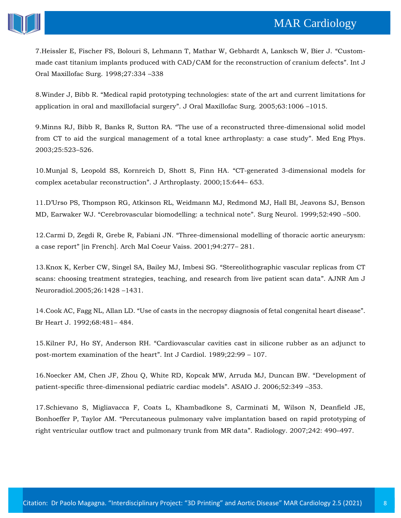# **MAR Cardiology**



7[.Heissler E, Fischer FS, Bolouri S, Lehmann T, Mathar W, Gebhardt A, Lanksch W, Bier J.](https://www.google.com/search?q=Custom-made+cast+titanium+implants+produced+with+CAD%2FCAM+for+the+reconstruction+of+cranium+defects&sxsrf=ALeKk03uSdXv8-avevhJSgxuYxlt2UtEYQ%3A1617860407267&ei=N5duYLbfD8nt9QOPq6_4Bw&oq=Custom-made+cast+titanium+implants+produced+with+CAD%2FCAM+for+the+reconstruction+of+cranium+defects&gs_lcp=Cgdnd3Mtd2l6EAM6BwgjEOoCECdQgXlYgXlg5ntoAXAAeACAAWKIAWKSAQExmAEBoAEBoAECqgEHZ3dzLXdperABCsABAQ&sclient=gws-wiz&ved=0ahUKEwj21vvW9-3vAhXJdn0KHY_VC38Q4dUDCA0&uact=5) "Custom[made cast titanium implants produced with CAD/CAM for the reconstruction of cranium defects](https://www.google.com/search?q=Custom-made+cast+titanium+implants+produced+with+CAD%2FCAM+for+the+reconstruction+of+cranium+defects&sxsrf=ALeKk03uSdXv8-avevhJSgxuYxlt2UtEYQ%3A1617860407267&ei=N5duYLbfD8nt9QOPq6_4Bw&oq=Custom-made+cast+titanium+implants+produced+with+CAD%2FCAM+for+the+reconstruction+of+cranium+defects&gs_lcp=Cgdnd3Mtd2l6EAM6BwgjEOoCECdQgXlYgXlg5ntoAXAAeACAAWKIAWKSAQExmAEBoAEBoAECqgEHZ3dzLXdperABCsABAQ&sclient=gws-wiz&ved=0ahUKEwj21vvW9-3vAhXJdn0KHY_VC38Q4dUDCA0&uact=5)". Int J [Oral Maxillofac Surg. 1998;27:334](https://www.google.com/search?q=Custom-made+cast+titanium+implants+produced+with+CAD%2FCAM+for+the+reconstruction+of+cranium+defects&sxsrf=ALeKk03uSdXv8-avevhJSgxuYxlt2UtEYQ%3A1617860407267&ei=N5duYLbfD8nt9QOPq6_4Bw&oq=Custom-made+cast+titanium+implants+produced+with+CAD%2FCAM+for+the+reconstruction+of+cranium+defects&gs_lcp=Cgdnd3Mtd2l6EAM6BwgjEOoCECdQgXlYgXlg5ntoAXAAeACAAWKIAWKSAQExmAEBoAEBoAECqgEHZ3dzLXdperABCsABAQ&sclient=gws-wiz&ved=0ahUKEwj21vvW9-3vAhXJdn0KHY_VC38Q4dUDCA0&uact=5) –338

8.Winder J, Bibb R. "[Medical rapid prototyping technologies: state of the art and current limitations for](https://www.google.com/search?q=Medical+rapid+prototyping+technologies%3A+state+of+the+art+and+current+limitations+for+application+in+oral+and+maxillofacial+surgery&sxsrf=ALeKk03onJlfT-nO5xKQqFcR2fNzwqanWQ%3A1617860392035&ei=KJduYLa-AdSdyAORnLGYCQ&oq=Medical+rapid+prototyping+technologies%3A+state+of+the+art+and+current+limitations+for+application+in+oral+and+maxillofacial+surgery&gs_lcp=Cgdnd3Mtd2l6EAMyBwgjEOoCECcyBwgjEOoCECcyBwgjEOoCECcyBwgjEOoCECcyBwgjEOoCECcyBwgjEOoCECcyBwgjEOoCECcyBwgjEOoCECcyBwgjEOoCECcyBwgjEOoCECdQmWtYmWtg8mxoAXAAeACAAQCIAQCSAQCYAQGgAQGgAQKqAQdnd3Mtd2l6sAEKwAEB&sclient=gws-wiz&ved=0ahUKEwi28tnP9-3vAhXUDnIKHRFODJMQ4dUDCA0&uact=5)  [application in oral and maxillofacial surgery](https://www.google.com/search?q=Medical+rapid+prototyping+technologies%3A+state+of+the+art+and+current+limitations+for+application+in+oral+and+maxillofacial+surgery&sxsrf=ALeKk03onJlfT-nO5xKQqFcR2fNzwqanWQ%3A1617860392035&ei=KJduYLa-AdSdyAORnLGYCQ&oq=Medical+rapid+prototyping+technologies%3A+state+of+the+art+and+current+limitations+for+application+in+oral+and+maxillofacial+surgery&gs_lcp=Cgdnd3Mtd2l6EAMyBwgjEOoCECcyBwgjEOoCECcyBwgjEOoCECcyBwgjEOoCECcyBwgjEOoCECcyBwgjEOoCECcyBwgjEOoCECcyBwgjEOoCECcyBwgjEOoCECcyBwgjEOoCECdQmWtYmWtg8mxoAXAAeACAAQCIAQCSAQCYAQGgAQGgAQKqAQdnd3Mtd2l6sAEKwAEB&sclient=gws-wiz&ved=0ahUKEwi28tnP9-3vAhXUDnIKHRFODJMQ4dUDCA0&uact=5)". J Oral Maxillofac Surg. 2005;63:1006 –1015.

9.Minns RJ, Bibb R, Banks R, Sutton RA. "[The use of a reconstructed three-dimensional solid model](https://www.google.com/search?q=The+use+of+a+reconstructed+three-dimensional+solid+model+from+CT+to+aid+the+surgical+management+of+a+total+knee+arthroplasty%3A+a+case+study&sxsrf=ALeKk03EMhYckqrhqJo4GPYzdrel8dXNgw%3A1617860376932&ei=GJduYKKuOMrFrQG3t7CgCQ&oq=The+use+of+a+reconstructed+three-dimensional+solid+model+from+CT+to+aid+the+surgical+management+of+a+total+knee+arthroplasty%3A+a+case+study&gs_lcp=Cgdnd3Mtd2l6EAMyBwgjEOoCECcyBwgjEOoCECcyBwgjEOoCECcyBwgjEOoCECcyBwgjEOoCECcyBwgjEOoCECcyBwgjEOoCECcyBwgjEOoCECcyBwgjEOoCECcyBwgjEOoCECdQ3mtY3mtgmm1oAXAAeACAAYUBiAGFAZIBAzAuMZgBAKABAaABAqoBB2d3cy13aXqwAQrAAQE&sclient=gws-wiz&ved=0ahUKEwiimsDI9-3vAhXKYisKHbcbDJQQ4dUDCA0&uact=5)  [from CT to aid the surgical management of a total knee arthroplasty: a case study](https://www.google.com/search?q=The+use+of+a+reconstructed+three-dimensional+solid+model+from+CT+to+aid+the+surgical+management+of+a+total+knee+arthroplasty%3A+a+case+study&sxsrf=ALeKk03EMhYckqrhqJo4GPYzdrel8dXNgw%3A1617860376932&ei=GJduYKKuOMrFrQG3t7CgCQ&oq=The+use+of+a+reconstructed+three-dimensional+solid+model+from+CT+to+aid+the+surgical+management+of+a+total+knee+arthroplasty%3A+a+case+study&gs_lcp=Cgdnd3Mtd2l6EAMyBwgjEOoCECcyBwgjEOoCECcyBwgjEOoCECcyBwgjEOoCECcyBwgjEOoCECcyBwgjEOoCECcyBwgjEOoCECcyBwgjEOoCECcyBwgjEOoCECcyBwgjEOoCECdQ3mtY3mtgmm1oAXAAeACAAYUBiAGFAZIBAzAuMZgBAKABAaABAqoBB2d3cy13aXqwAQrAAQE&sclient=gws-wiz&ved=0ahUKEwiimsDI9-3vAhXKYisKHbcbDJQQ4dUDCA0&uact=5)". Med Eng Phys. [2003;25:523](https://www.google.com/search?q=The+use+of+a+reconstructed+three-dimensional+solid+model+from+CT+to+aid+the+surgical+management+of+a+total+knee+arthroplasty%3A+a+case+study&sxsrf=ALeKk03EMhYckqrhqJo4GPYzdrel8dXNgw%3A1617860376932&ei=GJduYKKuOMrFrQG3t7CgCQ&oq=The+use+of+a+reconstructed+three-dimensional+solid+model+from+CT+to+aid+the+surgical+management+of+a+total+knee+arthroplasty%3A+a+case+study&gs_lcp=Cgdnd3Mtd2l6EAMyBwgjEOoCECcyBwgjEOoCECcyBwgjEOoCECcyBwgjEOoCECcyBwgjEOoCECcyBwgjEOoCECcyBwgjEOoCECcyBwgjEOoCECcyBwgjEOoCECcyBwgjEOoCECdQ3mtY3mtgmm1oAXAAeACAAYUBiAGFAZIBAzAuMZgBAKABAaABAqoBB2d3cy13aXqwAQrAAQE&sclient=gws-wiz&ved=0ahUKEwiimsDI9-3vAhXKYisKHbcbDJQQ4dUDCA0&uact=5)–526.

10[.Munjal S, Leopold SS, Kornreich D, Shott S, Finn HA.](https://www.google.com/search?q=CT-generated+3-dimensional+models+for+complex+acetabular+reconstruction&sxsrf=ALeKk00r3hR1C_TeDWF76_N7ivdFhuJ3Iw%3A1617860360515&ei=CJduYK3sHoL6rQH7tIvgDA&oq=CT-generated+3-dimensional+models+for+complex+acetabular+reconstruction&gs_lcp=Cgdnd3Mtd2l6EAM6BwgjEOoCECdQrXRYrXRg9XZoAXAAeACAAdkBiAHNApIBBTAuMS4xmAEAoAEBoAECqgEHZ3dzLXdperABCsABAQ&sclient=gws-wiz&ved=0ahUKEwitkNbA9-3vAhUCfSsKHXvaAswQ4dUDCA0&uact=5) "CT-generated 3-dimensional models for [complex acetabular reconstruction](https://www.google.com/search?q=CT-generated+3-dimensional+models+for+complex+acetabular+reconstruction&sxsrf=ALeKk00r3hR1C_TeDWF76_N7ivdFhuJ3Iw%3A1617860360515&ei=CJduYK3sHoL6rQH7tIvgDA&oq=CT-generated+3-dimensional+models+for+complex+acetabular+reconstruction&gs_lcp=Cgdnd3Mtd2l6EAM6BwgjEOoCECdQrXRYrXRg9XZoAXAAeACAAdkBiAHNApIBBTAuMS4xmAEAoAEBoAECqgEHZ3dzLXdperABCsABAQ&sclient=gws-wiz&ved=0ahUKEwitkNbA9-3vAhUCfSsKHXvaAswQ4dUDCA0&uact=5)". J Arthroplasty. 2000;15:644– 653.

11.[D'Urso PS, Thompson RG, Atkinson RL, Weidmann MJ, Redmond MJ, Hall BI, Jeavons SJ, Benson](https://www.google.com/search?q=Cerebrovascular+biomodelling%3A+a+technical+note&sxsrf=ALeKk03XuO7tbjgAYgHEK3vJjY9vgdAisA%3A1617860342472&ei=9pZuYI2wHIOf9QPRm56QDA&oq=Cerebrovascular+biomodelling%3A+a+technical+note&gs_lcp=Cgdnd3Mtd2l6EAMyBQghEKABMgUIIRCgAToHCCMQ6gIQJ1D8gQFY_IEBYK6FAWgBcAB4AIABhgKIAZwDkgEFMC4xLjGYAQCgAQGgAQKqAQdnd3Mtd2l6sAEKwAEB&sclient=gws-wiz&ved=0ahUKEwiNg4m49-3vAhWDT30KHdGNB8IQ4dUDCA0&uact=5)  MD, Earwaker WJ. "[Cerebrovascular biomodelling: a technical note](https://www.google.com/search?q=Cerebrovascular+biomodelling%3A+a+technical+note&sxsrf=ALeKk03XuO7tbjgAYgHEK3vJjY9vgdAisA%3A1617860342472&ei=9pZuYI2wHIOf9QPRm56QDA&oq=Cerebrovascular+biomodelling%3A+a+technical+note&gs_lcp=Cgdnd3Mtd2l6EAMyBQghEKABMgUIIRCgAToHCCMQ6gIQJ1D8gQFY_IEBYK6FAWgBcAB4AIABhgKIAZwDkgEFMC4xLjGYAQCgAQGgAQKqAQdnd3Mtd2l6sAEKwAEB&sclient=gws-wiz&ved=0ahUKEwiNg4m49-3vAhWDT30KHdGNB8IQ4dUDCA0&uact=5)". Surg Neurol. 1999;52:490 –500.

12.Carmi D, Zegdi R, Grebe R, Fabiani JN. "[Three-dimensional modelling of thoracic aortic aneurysm:](https://www.google.com/search?q=Three-dimensional+modelling+of+thoracic+aortic+aneurysm%3A+a+case+report&sxsrf=ALeKk00vjOERP6_ifSle60dKuo23WF5rRQ%3A1617860318504&ei=3pZuYLieHpvf9QOW74rIAw&oq=Three-dimensional+modelling+of+thoracic+aortic+aneurysm%3A+a+case+report&gs_lcp=Cgdnd3Mtd2l6EAM6BwgjEOoCECdQ9a8BWPWvAWCEsgFoAXAAeACAAWSIAWSSAQMwLjGYAQGgAQGgAQKqAQdnd3Mtd2l6sAEKwAEB&sclient=gws-wiz&ved=0ahUKEwi4hdKs9-3vAhWbb30KHZa3AjkQ4dUDCA0&uact=5)  a case report" [\[in French\]. Arch Mal Coeur Vaiss. 2001;94:277](https://www.google.com/search?q=Three-dimensional+modelling+of+thoracic+aortic+aneurysm%3A+a+case+report&sxsrf=ALeKk00vjOERP6_ifSle60dKuo23WF5rRQ%3A1617860318504&ei=3pZuYLieHpvf9QOW74rIAw&oq=Three-dimensional+modelling+of+thoracic+aortic+aneurysm%3A+a+case+report&gs_lcp=Cgdnd3Mtd2l6EAM6BwgjEOoCECdQ9a8BWPWvAWCEsgFoAXAAeACAAWSIAWSSAQMwLjGYAQGgAQGgAQKqAQdnd3Mtd2l6sAEKwAEB&sclient=gws-wiz&ved=0ahUKEwi4hdKs9-3vAhWbb30KHZa3AjkQ4dUDCA0&uact=5)– 281.

13.Knox [K, Kerber CW, Singel SA, Bailey MJ, Imbesi SG.](https://www.google.com/search?q=Stereolithographic+vascular+replicas+from+CT+scans%3A+choosing+treatment+strategies%2C+teaching%2C+and+research+from+live+patient+scan+data&sxsrf=ALeKk01dPYQCC5s3_RDI6k-dVlkd-owr0Q%3A1617860303213&ei=z5ZuYPTgBNLVrtoPo6KEuAo&oq=Stereolithographic+vascular+replicas+from+CT+scans%3A+choosing+treatment+strategies%2C+teaching%2C+and+research+from+live+patient+scan+data&gs_lcp=Cgdnd3Mtd2l6EAMyBwgjEOoCECcyBwgjEOoCECcyBwgjEOoCECcyBwgjEOoCECcyBwgjEOoCECcyBwgjEOoCECcyBwgjEOoCECcyBwgjEOoCECcyBwgjEOoCECcyBwgjEOoCECdQ52xY52xgvW5oAXAAeACAAWmIAWmSAQMwLjGYAQCgAQGgAQKqAQdnd3Mtd2l6sAEKwAEB&sclient=gws-wiz&ved=0ahUKEwi0hKWl9-3vAhXSqksFHSMRAacQ4dUDCA0&uact=5) "Stereolithographic vascular replicas from CT [scans: choosing treatment strategies, teaching, and research from live patient scan data](https://www.google.com/search?q=Stereolithographic+vascular+replicas+from+CT+scans%3A+choosing+treatment+strategies%2C+teaching%2C+and+research+from+live+patient+scan+data&sxsrf=ALeKk01dPYQCC5s3_RDI6k-dVlkd-owr0Q%3A1617860303213&ei=z5ZuYPTgBNLVrtoPo6KEuAo&oq=Stereolithographic+vascular+replicas+from+CT+scans%3A+choosing+treatment+strategies%2C+teaching%2C+and+research+from+live+patient+scan+data&gs_lcp=Cgdnd3Mtd2l6EAMyBwgjEOoCECcyBwgjEOoCECcyBwgjEOoCECcyBwgjEOoCECcyBwgjEOoCECcyBwgjEOoCECcyBwgjEOoCECcyBwgjEOoCECcyBwgjEOoCECcyBwgjEOoCECdQ52xY52xgvW5oAXAAeACAAWmIAWmSAQMwLjGYAQCgAQGgAQKqAQdnd3Mtd2l6sAEKwAEB&sclient=gws-wiz&ved=0ahUKEwi0hKWl9-3vAhXSqksFHSMRAacQ4dUDCA0&uact=5)". AJNR Am J [Neuroradiol.2005;26:1428](https://www.google.com/search?q=Stereolithographic+vascular+replicas+from+CT+scans%3A+choosing+treatment+strategies%2C+teaching%2C+and+research+from+live+patient+scan+data&sxsrf=ALeKk01dPYQCC5s3_RDI6k-dVlkd-owr0Q%3A1617860303213&ei=z5ZuYPTgBNLVrtoPo6KEuAo&oq=Stereolithographic+vascular+replicas+from+CT+scans%3A+choosing+treatment+strategies%2C+teaching%2C+and+research+from+live+patient+scan+data&gs_lcp=Cgdnd3Mtd2l6EAMyBwgjEOoCECcyBwgjEOoCECcyBwgjEOoCECcyBwgjEOoCECcyBwgjEOoCECcyBwgjEOoCECcyBwgjEOoCECcyBwgjEOoCECcyBwgjEOoCECcyBwgjEOoCECdQ52xY52xgvW5oAXAAeACAAWmIAWmSAQMwLjGYAQCgAQGgAQKqAQdnd3Mtd2l6sAEKwAEB&sclient=gws-wiz&ved=0ahUKEwi0hKWl9-3vAhXSqksFHSMRAacQ4dUDCA0&uact=5) –1431.

14.Cook AC, Fagg NL, Allan LD. "[Use of casts in the necropsy diagnosis of fetal congenital heart disease](https://www.google.com/search?q=Use+of+casts+in+the+necropsy+diagnosis+of+fetal+congenital+heart+disease&sxsrf=ALeKk00XeOymasFmtNsUEJ2GiYJwiHdw3Q%3A1617860286597&ei=vpZuYLX-I8fyrAHZ4bWYBQ&oq=Use+of+casts+in+the+necropsy+diagnosis+of+fetal+congenital+heart+disease&gs_lcp=Cgdnd3Mtd2l6EAM6BwgjEOoCECdQ_3ZY_3ZgwHhoAXAAeACAAV-IAV-SAQExmAEBoAEBoAECqgEHZ3dzLXdperABCsABAQ&sclient=gws-wiz&ved=0ahUKEwi11bad9-3vAhVHOSsKHdlwDVMQ4dUDCA0&uact=5)". [Br Heart J. 1992;68:481](https://www.google.com/search?q=Use+of+casts+in+the+necropsy+diagnosis+of+fetal+congenital+heart+disease&sxsrf=ALeKk00XeOymasFmtNsUEJ2GiYJwiHdw3Q%3A1617860286597&ei=vpZuYLX-I8fyrAHZ4bWYBQ&oq=Use+of+casts+in+the+necropsy+diagnosis+of+fetal+congenital+heart+disease&gs_lcp=Cgdnd3Mtd2l6EAM6BwgjEOoCECdQ_3ZY_3ZgwHhoAXAAeACAAV-IAV-SAQExmAEBoAEBoAECqgEHZ3dzLXdperABCsABAQ&sclient=gws-wiz&ved=0ahUKEwi11bad9-3vAhVHOSsKHdlwDVMQ4dUDCA0&uact=5)– 484.

15.Kilner PJ, Ho SY, Anderson RH. "[Cardiovascular cavities cast in silicone rubber as an adjunct to](https://www.google.com/search?q=Cardiovascular+cavities+cast+in+silicone+rubber+as+an+adjunct+to+post-mortem+examination+of+the+heart&sxsrf=ALeKk00UPixfOdw0zPyTg2qW81akDLNh7Q%3A1617860271777&ei=r5ZuYJiAL8Lb9QOaiJiwBA&oq=Cardiovascular+cavities+cast+in+silicone+rubber+as+an+adjunct+to+post-mortem+examination+of+the+heart&gs_lcp=Cgdnd3Mtd2l6EAMyBwgjEOoCECcyBwgjEOoCECcyBwgjEOoCECcyBwgjEOoCECcyBwgjEOoCECcyBwgjEOoCECcyBwgjEOoCECcyBwgjEOoCECcyBwgjEOoCECcyBwgjEOoCECdQ3GhY3GhguWpoAXAAeACAAY4CiAGOApIBAzItMZgBAKABAaABAqoBB2d3cy13aXqwAQrAAQE&sclient=gws-wiz&ved=0ahUKEwjYk66W9-3vAhXCbX0KHRoEBkYQ4dUDCA0&uact=5)  [post-mortem examination of the heart](https://www.google.com/search?q=Cardiovascular+cavities+cast+in+silicone+rubber+as+an+adjunct+to+post-mortem+examination+of+the+heart&sxsrf=ALeKk00UPixfOdw0zPyTg2qW81akDLNh7Q%3A1617860271777&ei=r5ZuYJiAL8Lb9QOaiJiwBA&oq=Cardiovascular+cavities+cast+in+silicone+rubber+as+an+adjunct+to+post-mortem+examination+of+the+heart&gs_lcp=Cgdnd3Mtd2l6EAMyBwgjEOoCECcyBwgjEOoCECcyBwgjEOoCECcyBwgjEOoCECcyBwgjEOoCECcyBwgjEOoCECcyBwgjEOoCECcyBwgjEOoCECcyBwgjEOoCECcyBwgjEOoCECdQ3GhY3GhguWpoAXAAeACAAY4CiAGOApIBAzItMZgBAKABAaABAqoBB2d3cy13aXqwAQrAAQE&sclient=gws-wiz&ved=0ahUKEwjYk66W9-3vAhXCbX0KHRoEBkYQ4dUDCA0&uact=5)". Int J Cardiol. 1989;22:99 – 107.

16[.Noecker AM, Chen JF, Zhou Q, White RD, Kopcak MW, Arruda MJ, Duncan BW.](https://www.google.com/search?q=Development+of+patient-specific+three-dimensional+pediatric+cardiac+models&sxsrf=ALeKk01xarNJmUESfTvCaAoNjRJdeMnS6w%3A1617860253607&ei=nZZuYMjDJIeS9QOHxInYBQ&oq=Development+of+patient-specific+three-dimensional+pediatric+cardiac+models&gs_lcp=Cgdnd3Mtd2l6EAM6BwgjEOoCECdQu4MBWLuDAWCjhQFoAXAAeACAAWiIAWiSAQMwLjGYAQGgAQGgAQKqAQdnd3Mtd2l6sAEKwAEB&sclient=gws-wiz&ved=0ahUKEwiIhtmN9-3vAhUHSX0KHQdiAlsQ4dUDCA0&uact=5) "Development of [patient-specific three-dimensional pediatric cardiac models](https://www.google.com/search?q=Development+of+patient-specific+three-dimensional+pediatric+cardiac+models&sxsrf=ALeKk01xarNJmUESfTvCaAoNjRJdeMnS6w%3A1617860253607&ei=nZZuYMjDJIeS9QOHxInYBQ&oq=Development+of+patient-specific+three-dimensional+pediatric+cardiac+models&gs_lcp=Cgdnd3Mtd2l6EAM6BwgjEOoCECdQu4MBWLuDAWCjhQFoAXAAeACAAWiIAWiSAQMwLjGYAQGgAQGgAQKqAQdnd3Mtd2l6sAEKwAEB&sclient=gws-wiz&ved=0ahUKEwiIhtmN9-3vAhUHSX0KHQdiAlsQ4dUDCA0&uact=5)". ASAIO J. 2006;52:349 –353.

17[.Schievano S, Migliavacca F, Coats L, Khambadkone S, Carminati M, Wilson N, Deanfield JE,](https://www.google.com/search?q=Percutaneous+pulmonary+valve+implantation+based+on+rapid+prototyping+of+right+ventricular+outflow+tract+and+pulmonary+trunk+from+MR+data&sxsrf=ALeKk02ExQRdYxr2SN3915ERJ0xlGNEOVQ%3A1617860237140&ei=jZZuYOGUCMLyrAGOvZPADA&oq=Percutaneous+pulmonary+valve+implantation+based+on+rapid+prototyping+of+right+ventricular+outflow+tract+and+pulmonary+trunk+from+MR+data&gs_lcp=Cgdnd3Mtd2l6EAMyBwgjEOoCECcyBwgjEOoCECcyBwgjEOoCECcyBwgjEOoCECcyBwgjEOoCECcyBwgjEOoCECcyBwgjEOoCECcyBwgjEOoCECcyBwgjEOoCECcyBwgjEOoCECdQjnZYjnZgt3loAXAAeACAAcABiAHAAZIBAzAuMZgBAKABAaABAqoBB2d3cy13aXqwAQrAAQE&sclient=gws-wiz&ved=0ahUKEwihj-yF9-3vAhVCOSsKHY7eBMgQ4dUDCA0&uact=5)  Bonhoeffer P, Taylor AM. "[Percutaneous pulmonary valve implantation based on rapid prototyping of](https://www.google.com/search?q=Percutaneous+pulmonary+valve+implantation+based+on+rapid+prototyping+of+right+ventricular+outflow+tract+and+pulmonary+trunk+from+MR+data&sxsrf=ALeKk02ExQRdYxr2SN3915ERJ0xlGNEOVQ%3A1617860237140&ei=jZZuYOGUCMLyrAGOvZPADA&oq=Percutaneous+pulmonary+valve+implantation+based+on+rapid+prototyping+of+right+ventricular+outflow+tract+and+pulmonary+trunk+from+MR+data&gs_lcp=Cgdnd3Mtd2l6EAMyBwgjEOoCECcyBwgjEOoCECcyBwgjEOoCECcyBwgjEOoCECcyBwgjEOoCECcyBwgjEOoCECcyBwgjEOoCECcyBwgjEOoCECcyBwgjEOoCECcyBwgjEOoCECdQjnZYjnZgt3loAXAAeACAAcABiAHAAZIBAzAuMZgBAKABAaABAqoBB2d3cy13aXqwAQrAAQE&sclient=gws-wiz&ved=0ahUKEwihj-yF9-3vAhVCOSsKHY7eBMgQ4dUDCA0&uact=5)  [right ventricular outflow tract and pulmonary trunk from MR data](https://www.google.com/search?q=Percutaneous+pulmonary+valve+implantation+based+on+rapid+prototyping+of+right+ventricular+outflow+tract+and+pulmonary+trunk+from+MR+data&sxsrf=ALeKk02ExQRdYxr2SN3915ERJ0xlGNEOVQ%3A1617860237140&ei=jZZuYOGUCMLyrAGOvZPADA&oq=Percutaneous+pulmonary+valve+implantation+based+on+rapid+prototyping+of+right+ventricular+outflow+tract+and+pulmonary+trunk+from+MR+data&gs_lcp=Cgdnd3Mtd2l6EAMyBwgjEOoCECcyBwgjEOoCECcyBwgjEOoCECcyBwgjEOoCECcyBwgjEOoCECcyBwgjEOoCECcyBwgjEOoCECcyBwgjEOoCECcyBwgjEOoCECcyBwgjEOoCECdQjnZYjnZgt3loAXAAeACAAcABiAHAAZIBAzAuMZgBAKABAaABAqoBB2d3cy13aXqwAQrAAQE&sclient=gws-wiz&ved=0ahUKEwihj-yF9-3vAhVCOSsKHY7eBMgQ4dUDCA0&uact=5)". Radiology. 2007;242: 490–497.